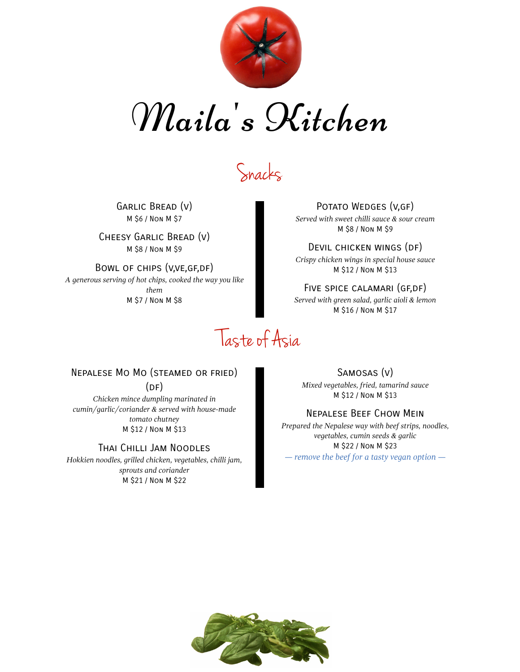

# Maila's Kitchen

Snacks

Garlic Bread (v) M \$6 / Non M \$7

Cheesy Garlic Bread (v)

BOWL OF CHIPS (V, VE, GF, DF) M  $\frac{1}{2}$  M \$12 / Non M \$13 *A generous serving of hot chips, cooked the way you like them* M \$7 / Non M \$8

POTATO WEDGES (V,GF)

*Served with sweet chilli sauce & sour cream* M \$8 / Non M \$9

M \$8 / Non M \$9 DEVIL CHICKEN WINGS (DF) *Crispy chicken wings in special house sauce*

> FIVE SPICE CALAMARI (GF,DF) *Served with green salad, garlic aioli & lemon* M \$16 / Non M \$17

Taste of Asia

### Nepalese Mo Mo (steamed or fried)

 $(DF)$ 

*Chicken mince dumpling marinated in cumin/garlic/coriander & served with house-made tomato chutney* M \$12 / Non M \$13

#### Thai Chilli Jam Noodles

*Hokkien noodles, grilled chicken, vegetables, chilli jam, sprouts and coriander* M \$21 / Non M \$22

Samosas (v) *Mixed vegetables, fried, tamarind sauce* M \$12 / Non M \$13

#### Nepalese Beef Chow Mein

*Prepared the Nepalese way with beef strips, noodles, vegetables, cumin seeds & garlic* M \$22 / Non M \$23 *— remove the beef for a tasty vegan option —*

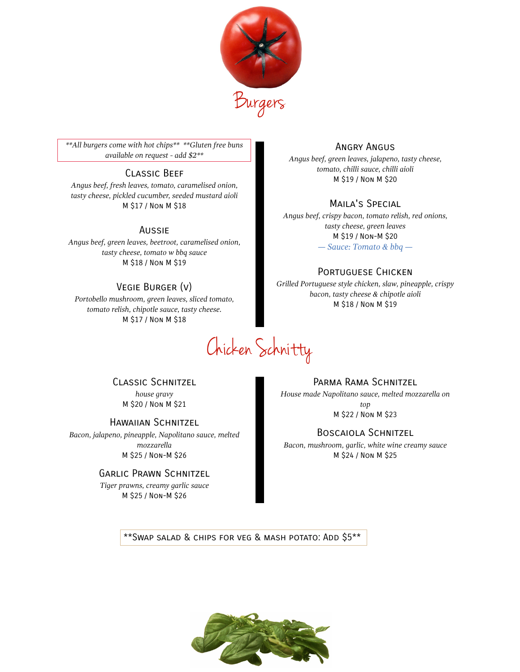

*\*\*All burgers come with hot chips\*\* \*\*Gluten free buns available on request - add \$2\*\**

*Angus beef, fresh leaves, tomato, caramelised onion, tasty cheese, pickled cucumber, seeded mustard aioli* M \$17/Non M \$18 MAILA'S SPECIAL

#### Aussie

*Angus beef, green leaves, beetroot, caramelised onion, tasty cheese, tomato w bbq sauce* M \$18 / Non M \$19

### Vegie Burger (v)

*Portobello mushroom, green leaves, sliced tomato, tomato relish, chipotle sauce, tasty cheese.* M \$17 / Non M \$18

#### Angry Angus

*Angus beef, green leaves, jalapeno, tasty cheese, tomato, chilli sauce, chilli aioli* CLASSIC BEEF THE CONSULTER STATE OF THE SAME CONSUMER STATES OF THE SAME SEARCH OF THE SAME STATES OF THE SAME<br>M \$19 / Non M \$20 M \$20 M \$19 M \$20 M \$20 M \$20 M \$20 M \$20 M \$20 M \$20 M STATES OF THE STATES OF THE STATES O

*Angus beef, crispy bacon, tomato relish, red onions, tasty cheese, green leaves* M \$19 / Non-M \$20 *— Sauce: Tomato & bbq —*

#### Portuguese Chicken

*Grilled Portuguese style chicken, slaw, pineapple, crispy bacon, tasty cheese & chipotle aioli* M \$18 / Non M \$19

Chicken Schnitty

Classic Schnitzel *house gravy* M \$20 / Non M \$21

Hawaiian Schnitzel *Bacon, jalapeno, pineapple, Napolitano sauce, melted mozzarella* M \$25 / Non-M \$26

#### Garlic Prawn Schnitzel

*Tiger prawns, creamy garlic sauce* M \$25 / Non-M \$26

PARMA RAMA SCHNITZEL

*House made Napolitano sauce, melted mozzarella on top*

M \$22 / Non M \$23

#### Boscaiola Schnitzel

*Bacon, mushroom, garlic, white wine creamy sauce* M \$24 / Non M \$25

\*\*Swap salad & chips for veg & mash potato: Add \$5\*\*

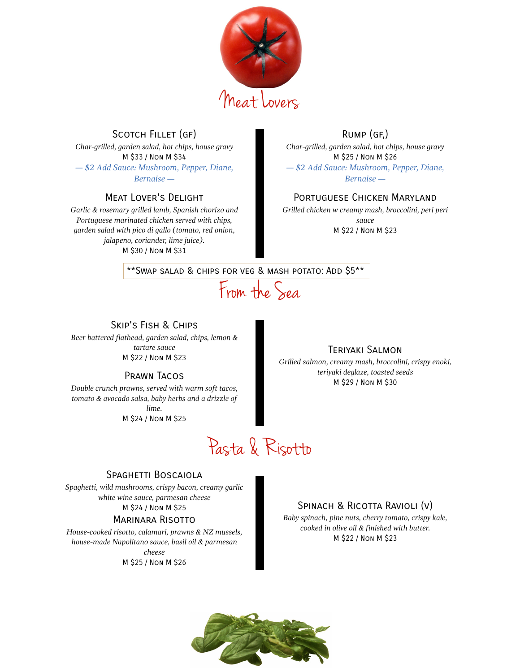

#### SCOTCH FILLET (GF)

*Char-grilled, garden salad, hot chips, house gravy* M \$33 / Non M \$34

*— \$2 Add Sauce: Mushroom, Pepper, Diane, Bernaise —*

#### Meat Lover's Delight

*Garlic & rosemary grilled lamb, Spanish chorizo and Portuguese marinated chicken served with chips, garden salad with pico di gallo (tomato, red onion, jalapeno, coriander, lime juice).* M \$30 / Non M \$31

#### Rump (gf,)

*Char-grilled, garden salad, hot chips, house gravy* M \$25 / Non M \$26 *— \$2 Add Sauce: Mushroom, Pepper, Diane, Bernaise —*

#### Portuguese Chicken Maryland

*Grilled chicken w creamy mash, broccolini, peri peri sauce* M \$22 / Non M \$23

\*\*Swap salad & chips for veg & mash potato: Add \$5\*\*

From the Sea

#### Skip's Fish & Chips

*Beer battered flathead, garden salad, chips, lemon & tartare sauce* M \$22 / Non M \$23

*Double crunch prawns, served with warm soft tacos, tomato & avocado salsa, baby herbs and a drizzle of lime.* M \$24 / Non M \$25

#### Teriyaki Salmon

*Grilled salmon, creamy mash, broccolini, crispy enoki, teriyaki deglaze, toasted seeds* PRAWN TACOS *teriyaki degiaze, toastea s*<br>M \$29 / Non M \$30



#### SPAGHETTI BOSCAIOLA

*Spaghetti, wild mushrooms, crispy bacon, creamy garlic white wine sauce, parmesan cheese*

#### Marinara Risotto

*House-cooked risotto, calamari, prawns & NZ mussels, house-made Napolitano sauce, basil oil & parmesan cheese* M \$25 / Non M \$26

#### M \$24 / Non M \$25 SPINACH & RICOTTA RAVIOLI (V)

*Baby spinach, pine nuts, cherry tomato, crispy kale, cooked in olive oil & finished with butter.* M \$22 / Non M \$23